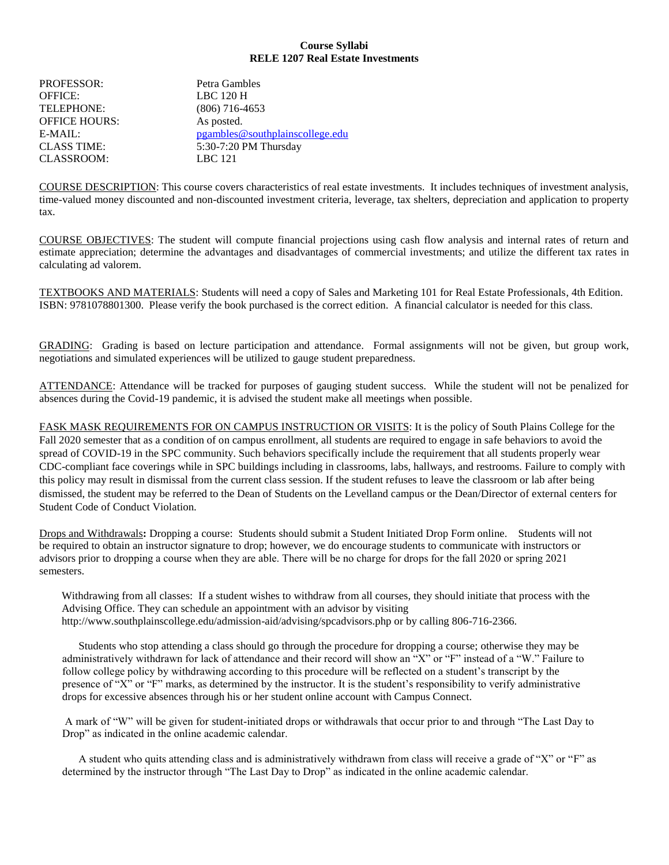## **Course Syllabi RELE 1207 Real Estate Investments**

| <b>PROFESSOR:</b>    | Petra Gambles                   |
|----------------------|---------------------------------|
| <b>OFFICE:</b>       | LBC 120 H                       |
| <b>TELEPHONE:</b>    | $(806)$ 716-4653                |
| <b>OFFICE HOURS:</b> | As posted.                      |
| $E-MAIL:$            | pgambles@southplainscollege.edu |
| <b>CLASS TIME:</b>   | 5:30-7:20 PM Thursday           |
| <b>CLASSROOM:</b>    | LBC 121                         |

COURSE DESCRIPTION: This course covers characteristics of real estate investments. It includes techniques of investment analysis, time-valued money discounted and non-discounted investment criteria, leverage, tax shelters, depreciation and application to property tax.

COURSE OBJECTIVES: The student will compute financial projections using cash flow analysis and internal rates of return and estimate appreciation; determine the advantages and disadvantages of commercial investments; and utilize the different tax rates in calculating ad valorem.

TEXTBOOKS AND MATERIALS: Students will need a copy of Sales and Marketing 101 for Real Estate Professionals, 4th Edition. ISBN: 9781078801300. Please verify the book purchased is the correct edition. A financial calculator is needed for this class.

GRADING: Grading is based on lecture participation and attendance. Formal assignments will not be given, but group work, negotiations and simulated experiences will be utilized to gauge student preparedness.

ATTENDANCE: Attendance will be tracked for purposes of gauging student success. While the student will not be penalized for absences during the Covid-19 pandemic, it is advised the student make all meetings when possible.

FASK MASK REQUIREMENTS FOR ON CAMPUS INSTRUCTION OR VISITS: It is the policy of South Plains College for the Fall 2020 semester that as a condition of on campus enrollment, all students are required to engage in safe behaviors to avoid the spread of COVID-19 in the SPC community. Such behaviors specifically include the requirement that all students properly wear CDC-compliant face coverings while in SPC buildings including in classrooms, labs, hallways, and restrooms. Failure to comply with this policy may result in dismissal from the current class session. If the student refuses to leave the classroom or lab after being dismissed, the student may be referred to the Dean of Students on the Levelland campus or the Dean/Director of external centers for Student Code of Conduct Violation.

Drops and Withdrawals**:** Dropping a course: Students should submit a Student Initiated Drop Form online. Students will not be required to obtain an instructor signature to drop; however, we do encourage students to communicate with instructors or advisors prior to dropping a course when they are able. There will be no charge for drops for the fall 2020 or spring 2021 semesters.

Withdrawing from all classes: If a student wishes to withdraw from all courses, they should initiate that process with the Advising Office. They can schedule an appointment with an advisor by visiting http://www.southplainscollege.edu/admission-aid/advising/spcadvisors.php or by calling 806-716-2366.

Students who stop attending a class should go through the procedure for dropping a course; otherwise they may be administratively withdrawn for lack of attendance and their record will show an "X" or "F" instead of a "W." Failure to follow college policy by withdrawing according to this procedure will be reflected on a student's transcript by the presence of "X" or "F" marks, as determined by the instructor. It is the student's responsibility to verify administrative drops for excessive absences through his or her student online account with Campus Connect.

A mark of "W" will be given for student-initiated drops or withdrawals that occur prior to and through "The Last Day to Drop" as indicated in the online academic calendar.

A student who quits attending class and is administratively withdrawn from class will receive a grade of "X" or "F" as determined by the instructor through "The Last Day to Drop" as indicated in the online academic calendar.